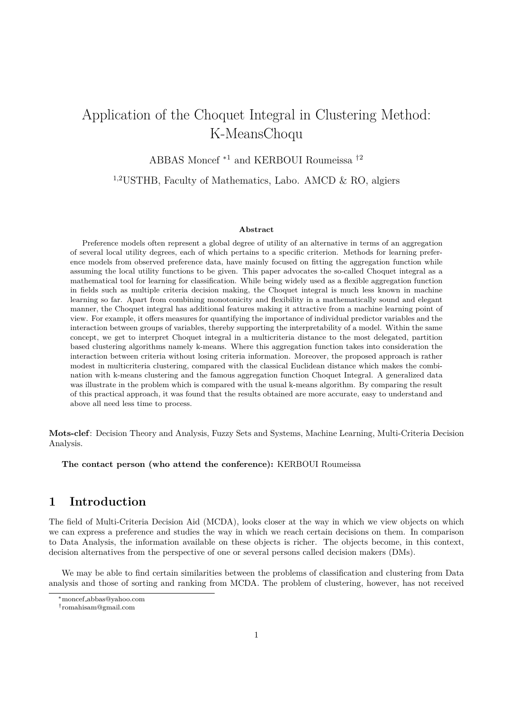# Application of the Choquet Integral in Clustering Method: K-MeansChoqu

# ABBAS Moncef <sup>∗</sup><sup>1</sup> and KERBOUI Roumeissa †<sup>2</sup>

1,2USTHB, Faculty of Mathematics, Labo. AMCD & RO, algiers

#### **Abstract**

Preference models often represent a global degree of utility of an alternative in terms of an aggregation of several local utility degrees, each of which pertains to a specific criterion. Methods for learning preference models from observed preference data, have mainly focused on fitting the aggregation function while assuming the local utility functions to be given. This paper advocates the so-called Choquet integral as a mathematical tool for learning for classification. While being widely used as a flexible aggregation function in fields such as multiple criteria decision making, the Choquet integral is much less known in machine learning so far. Apart from combining monotonicity and flexibility in a mathematically sound and elegant manner, the Choquet integral has additional features making it attractive from a machine learning point of view. For example, it offers measures for quantifying the importance of individual predictor variables and the interaction between groups of variables, thereby supporting the interpretability of a model. Within the same concept, we get to interpret Choquet integral in a multicriteria distance to the most delegated, partition based clustering algorithms namely k-means. Where this aggregation function takes into consideration the interaction between criteria without losing criteria information. Moreover, the proposed approach is rather modest in multicriteria clustering, compared with the classical Euclidean distance which makes the combination with k-means clustering and the famous aggregation function Choquet Integral. A generalized data was illustrate in the problem which is compared with the usual k-means algorithm. By comparing the result of this practical approach, it was found that the results obtained are more accurate, easy to understand and above all need less time to process.

**Mots-clef**: Decision Theory and Analysis, Fuzzy Sets and Systems, Machine Learning, Multi-Criteria Decision Analysis.

**The contact person (who attend the conference):** KERBOUI Roumeissa

# **1 Introduction**

The field of Multi-Criteria Decision Aid (MCDA), looks closer at the way in which we view objects on which we can express a preference and studies the way in which we reach certain decisions on them. In comparison to Data Analysis, the information available on these objects is richer. The objects become, in this context, decision alternatives from the perspective of one or several persons called decision makers (DMs).

We may be able to find certain similarities between the problems of classification and clustering from Data analysis and those of sorting and ranking from MCDA. The problem of clustering, however, has not received

<sup>∗</sup>moncef abbas@yahoo.com

<sup>†</sup> romahisam@gmail.com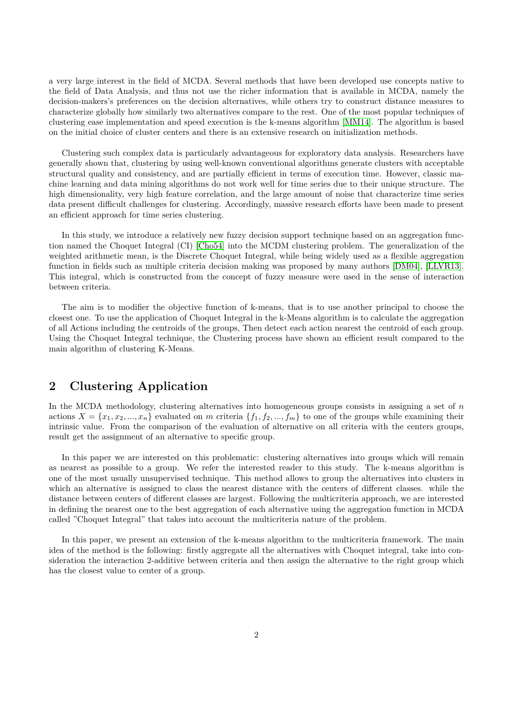a very large interest in the field of MCDA. Several methods that have been developed use concepts native to the field of Data Analysis, and thus not use the richer information that is available in MCDA, namely the decision-makers's preferences on the decision alternatives, while others try to construct distance measures to characterize globally how similarly two alternatives compare to the rest. One of the most popular techniques of clustering ease implementation and speed execution is the k-means algorithm [\[MM14\]](#page-3-0). The algorithm is based on the initial choice of cluster centers and there is an extensive research on initialization methods.

Clustering such complex data is particularly advantageous for exploratory data analysis. Researchers have generally shown that, clustering by using well-known conventional algorithms generate clusters with acceptable structural quality and consistency, and are partially efficient in terms of execution time. However, classic machine learning and data mining algorithms do not work well for time series due to their unique structure. The high dimensionality, very high feature correlation, and the large amount of noise that characterize time series data present difficult challenges for clustering. Accordingly, massive research efforts have been made to present an efficient approach for time series clustering.

In this study, we introduce a relatively new fuzzy decision support technique based on an aggregation function named the Choquet Integral (CI) [\[Cho54\]](#page-3-1) into the MCDM clustering problem. The generalization of the weighted arithmetic mean, is the Discrete Choquet Integral, while being widely used as a flexible aggregation function in fields such as multiple criteria decision making was proposed by many authors [\[DM04\]](#page-3-2), [\[LLVR13\]](#page-3-3). This integral, which is constructed from the concept of fuzzy measure were used in the sense of interaction between criteria.

The aim is to modifier the objective function of k-means, that is to use another principal to choose the closest one. To use the application of Choquet Integral in the k-Means algorithm is to calculate the aggregation of all Actions including the centroids of the groups, Then detect each action nearest the centroid of each group. Using the Choquet Integral technique, the Clustering process have shown an efficient result compared to the main algorithm of clustering K-Means.

## **2 Clustering Application**

In the MCDA methodology, clustering alternatives into homogeneous groups consists in assigning a set of *n* actions  $X = \{x_1, x_2, ..., x_n\}$  evaluated on *m* criteria  $\{f_1, f_2, ..., f_m\}$  to one of the groups while examining their intrinsic value. From the comparison of the evaluation of alternative on all criteria with the centers groups, result get the assignment of an alternative to specific group.

In this paper we are interested on this problematic: clustering alternatives into groups which will remain as nearest as possible to a group. We refer the interested reader to this study. The k-means algorithm is one of the most usually unsupervised technique. This method allows to group the alternatives into clusters in which an alternative is assigned to class the nearest distance with the centers of different classes. while the distance between centers of different classes are largest. Following the multicriteria approach, we are interested in defining the nearest one to the best aggregation of each alternative using the aggregation function in MCDA called "Choquet Integral" that takes into account the multicriteria nature of the problem.

In this paper, we present an extension of the k-means algorithm to the multicriteria framework. The main idea of the method is the following: firstly aggregate all the alternatives with Choquet integral, take into consideration the interaction 2-additive between criteria and then assign the alternative to the right group which has the closest value to center of a group.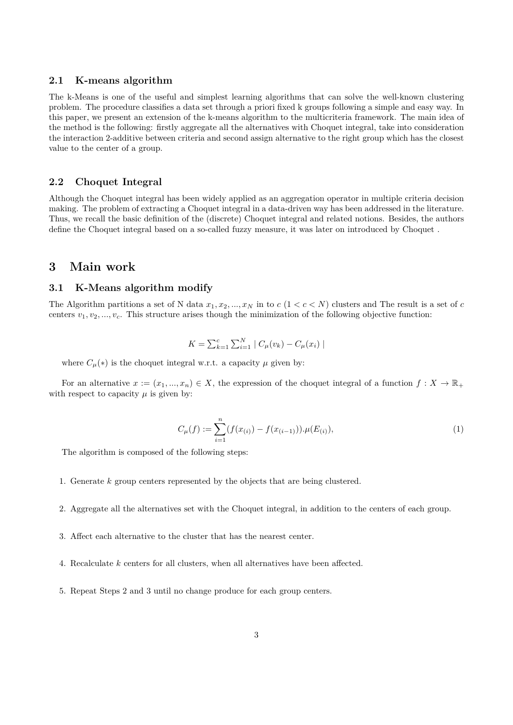#### **2.1 K-means algorithm**

The k-Means is one of the useful and simplest learning algorithms that can solve the well-known clustering problem. The procedure classifies a data set through a priori fixed k groups following a simple and easy way. In this paper, we present an extension of the k-means algorithm to the multicriteria framework. The main idea of the method is the following: firstly aggregate all the alternatives with Choquet integral, take into consideration the interaction 2-additive between criteria and second assign alternative to the right group which has the closest value to the center of a group.

#### **2.2 Choquet Integral**

Although the Choquet integral has been widely applied as an aggregation operator in multiple criteria decision making. The problem of extracting a Choquet integral in a data-driven way has been addressed in the literature. Thus, we recall the basic definition of the (discrete) Choquet integral and related notions. Besides, the authors define the Choquet integral based on a so-called fuzzy measure, it was later on introduced by Choquet .

## **3 Main work**

## **3.1 K-Means algorithm modify**

The Algorithm partitions a set of N data  $x_1, x_2, ..., x_N$  in to  $c$  ( $1 < c < N$ ) clusters and The result is a set of  $c$ centers  $v_1, v_2, ..., v_c$ . This structure arises though the minimization of the following objective function:

$$
K = \sum_{k=1}^{c} \sum_{i=1}^{N} |C_{\mu}(v_k) - C_{\mu}(x_i)|
$$

where  $C_{\mu}(\ast)$  is the choquet integral w.r.t. a capacity  $\mu$  given by:

For an alternative  $x := (x_1, ..., x_n) \in X$ , the expression of the choquet integral of a function  $f : X \to \mathbb{R}_+$ with respect to capacity  $\mu$  is given by:

$$
C_{\mu}(f) := \sum_{i=1}^{n} (f(x_{(i)}) - f(x_{(i-1)})) \cdot \mu(E_{(i)}),
$$
\n(1)

The algorithm is composed of the following steps:

- 1. Generate *k* group centers represented by the objects that are being clustered.
- 2. Aggregate all the alternatives set with the Choquet integral, in addition to the centers of each group.
- 3. Affect each alternative to the cluster that has the nearest center.
- 4. Recalculate *k* centers for all clusters, when all alternatives have been affected.
- 5. Repeat Steps 2 and 3 until no change produce for each group centers.